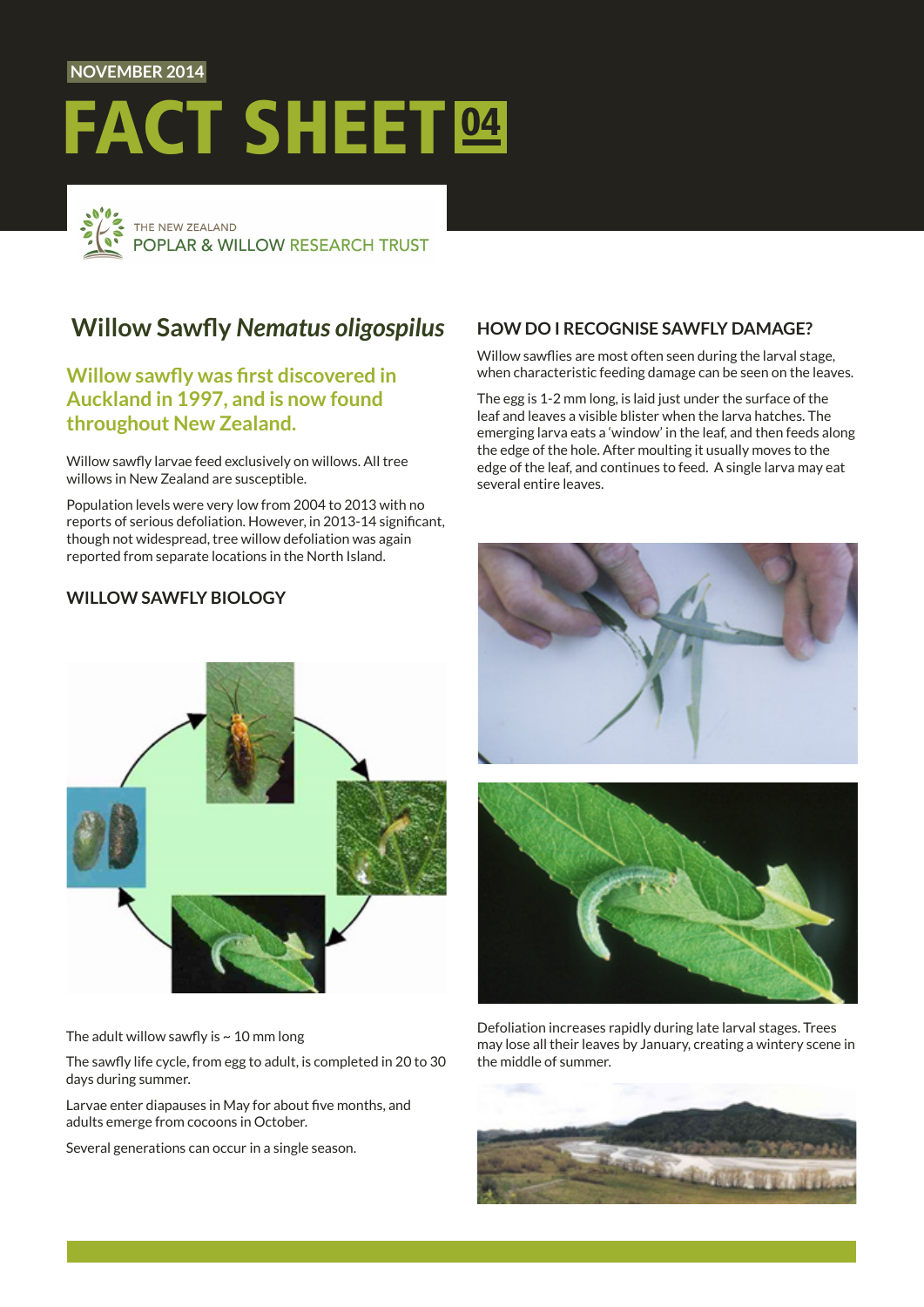### **NOVEMBER 2014**

# FACT SHEET<sup>04</sup>



# **Willow Sawfly** *Nematus oligospilus*

# **Willow sawfly was first discovered in Auckland in 1997, and is now found throughout New Zealand.**

Willow sawfly larvae feed exclusively on willows. All tree willows in New Zealand are susceptible.

Population levels were very low from 2004 to 2013 with no reports of serious defoliation. However, in 2013-14 significant, though not widespread, tree willow defoliation was again reported from separate locations in the North Island.

# **WILLOW SAWFLY BIOLOGY**

## **HOW DO I RECOGNISE SAWFLY DAMAGE?**

Willow sawflies are most often seen during the larval stage, when characteristic feeding damage can be seen on the leaves.

The egg is 1-2 mm long, is laid just under the surface of the leaf and leaves a visible blister when the larva hatches. The emerging larva eats a 'window' in the leaf, and then feeds along the edge of the hole. After moulting it usually moves to the edge of the leaf, and continues to feed. A single larva may eat several entire leaves.



The adult willow sawfly is  $\sim$  10 mm long

The sawfly life cycle, from egg to adult, is completed in 20 to 30 days during summer.

Larvae enter diapauses in May for about five months, and adults emerge from cocoons in October.

Several generations can occur in a single season.





Defoliation increases rapidly during late larval stages. Trees may lose all their leaves by January, creating a wintery scene in the middle of summer.